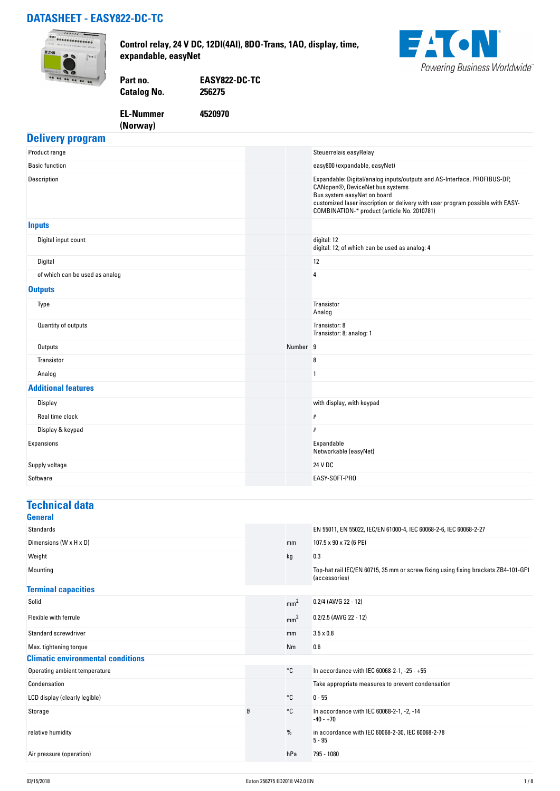## **DATASHEET - EASY822-DC-TC**



**Control relay, 24 V DC, 12DI(4AI), 8DO-Trans, 1AO, display, time, expandable, easyNet**



**Catalog No.** 

**Part no. EASY822-DC-TC**

**EL-Nummer (Norway)** 

**4520970**

#### **Delivery program**

| Product range                  |                     | Steuerrelais easyRelay                                                                                                                                                                                                                                                      |
|--------------------------------|---------------------|-----------------------------------------------------------------------------------------------------------------------------------------------------------------------------------------------------------------------------------------------------------------------------|
| <b>Basic function</b>          |                     | easy800 (expandable, easyNet)                                                                                                                                                                                                                                               |
| Description                    |                     | Expandable: Digital/analog inputs/outputs and AS-Interface, PROFIBUS-DP,<br>CANopen®, DeviceNet bus systems<br>Bus system easyNet on board<br>customized laser inscription or delivery with user program possible with EASY-<br>COMBINATION-* product (article No. 2010781) |
| <b>Inputs</b>                  |                     |                                                                                                                                                                                                                                                                             |
| Digital input count            |                     | digital: 12<br>digital: 12; of which can be used as analog: 4                                                                                                                                                                                                               |
| Digital                        |                     | 12                                                                                                                                                                                                                                                                          |
| of which can be used as analog |                     | 4                                                                                                                                                                                                                                                                           |
| <b>Outputs</b>                 |                     |                                                                                                                                                                                                                                                                             |
| Type                           |                     | Transistor<br>Analog                                                                                                                                                                                                                                                        |
| Quantity of outputs            |                     | Transistor: 8<br>Transistor: 8; analog: 1                                                                                                                                                                                                                                   |
| Outputs                        | Number <sub>9</sub> |                                                                                                                                                                                                                                                                             |
| Transistor                     |                     | 8                                                                                                                                                                                                                                                                           |
| Analog                         |                     | $\mathbf{1}$                                                                                                                                                                                                                                                                |
| <b>Additional features</b>     |                     |                                                                                                                                                                                                                                                                             |
| Display                        |                     | with display, with keypad                                                                                                                                                                                                                                                   |
| Real time clock                |                     | $\#$                                                                                                                                                                                                                                                                        |
| Display & keypad               |                     | #                                                                                                                                                                                                                                                                           |
| Expansions                     |                     | Expandable<br>Networkable (easyNet)                                                                                                                                                                                                                                         |
| Supply voltage                 |                     | 24 V DC                                                                                                                                                                                                                                                                     |
| Software                       |                     | EASY-SOFT-PRO                                                                                                                                                                                                                                                               |

#### **Technical data General**

| <b>Standards</b>                         |   |                 | EN 55011, EN 55022, IEC/EN 61000-4, IEC 60068-2-6, IEC 60068-2-27                                   |
|------------------------------------------|---|-----------------|-----------------------------------------------------------------------------------------------------|
| Dimensions (W x H x D)                   |   | mm              | 107.5 x 90 x 72 (6 PE)                                                                              |
| Weight                                   |   | kg              | 0.3                                                                                                 |
| Mounting                                 |   |                 | Top-hat rail IEC/EN 60715, 35 mm or screw fixing using fixing brackets ZB4-101-GF1<br>(accessories) |
| <b>Terminal capacities</b>               |   |                 |                                                                                                     |
| Solid                                    |   | mm <sup>2</sup> | 0.2/4 (AWG 22 - 12)                                                                                 |
| Flexible with ferrule                    |   | mm <sup>2</sup> | $0.2/2.5$ (AWG 22 - 12)                                                                             |
| <b>Standard screwdriver</b>              |   | mm              | $3.5 \times 0.8$                                                                                    |
| Max. tightening torque                   |   | Nm              | 0.6                                                                                                 |
| <b>Climatic environmental conditions</b> |   |                 |                                                                                                     |
| Operating ambient temperature            |   | °C              | In accordance with IEC 60068-2-1, -25 - +55                                                         |
| Condensation                             |   |                 | Take appropriate measures to prevent condensation                                                   |
| LCD display (clearly legible)            |   | °C              | $0 - 55$                                                                                            |
| Storage                                  | θ | °C              | In accordance with IEC 60068-2-1, -2, -14<br>$-40 - +70$                                            |
| relative humidity                        |   | %               | in accordance with IEC 60068-2-30, IEC 60068-2-78<br>$5 - 95$                                       |
| Air pressure (operation)                 |   | hPa             | 795 - 1080                                                                                          |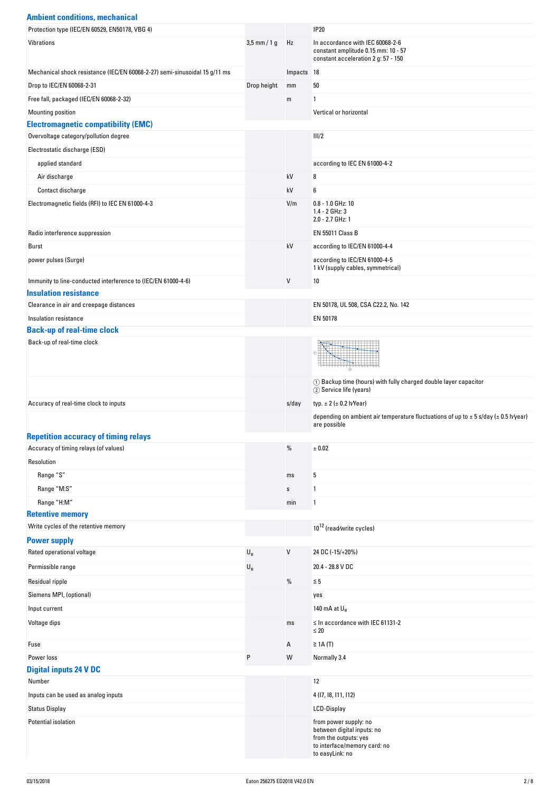| <b>Ambient conditions, mechanical</b>                                      |                           |            |                                                                                                                |
|----------------------------------------------------------------------------|---------------------------|------------|----------------------------------------------------------------------------------------------------------------|
| Protection type (IEC/EN 60529, EN50178, VBG 4)                             |                           |            | <b>IP20</b>                                                                                                    |
| Vibrations                                                                 | $3,5$ mm / 1 g            | Hz         | In accordance with IEC 60068-2-6<br>constant amplitude 0.15 mm: 10 - 57<br>constant acceleration 2 g: 57 - 150 |
| Mechanical shock resistance (IEC/EN 60068-2-27) semi-sinusoidal 15 g/11 ms |                           | Impacts 18 |                                                                                                                |
| Drop to IEC/EN 60068-2-31                                                  | Drop height               | mm         | 50                                                                                                             |
| Free fall, packaged (IEC/EN 60068-2-32)                                    |                           | m          | 1                                                                                                              |
| Mounting position                                                          |                           |            | Vertical or horizontal                                                                                         |
| <b>Electromagnetic compatibility (EMC)</b>                                 |                           |            |                                                                                                                |
| Overvoltage category/pollution degree                                      |                           |            | III/2                                                                                                          |
| Electrostatic discharge (ESD)                                              |                           |            |                                                                                                                |
| applied standard                                                           |                           |            | according to IEC EN 61000-4-2                                                                                  |
| Air discharge                                                              |                           | kV         | 8                                                                                                              |
| Contact discharge                                                          |                           | kV         | 6                                                                                                              |
| Electromagnetic fields (RFI) to IEC EN 61000-4-3                           |                           | V/m        | $0.8 - 1.0$ GHz: 10<br>1.4 - 2 GHz: 3<br>2.0 - 2.7 GHz: 1                                                      |
| Radio interference suppression                                             |                           |            | <b>EN 55011 Class B</b>                                                                                        |
| Burst                                                                      |                           | kV         | according to IEC/EN 61000-4-4                                                                                  |
| power pulses (Surge)                                                       |                           |            | according to IEC/EN 61000-4-5<br>1 kV (supply cables, symmetrical)                                             |
| Immunity to line-conducted interference to (IEC/EN 61000-4-6)              |                           | V          | 10                                                                                                             |
| <b>Insulation resistance</b>                                               |                           |            |                                                                                                                |
| Clearance in air and creepage distances                                    |                           |            | EN 50178, UL 508, CSA C22.2, No. 142                                                                           |
| Insulation resistance                                                      |                           |            | EN 50178                                                                                                       |
| <b>Back-up of real-time clock</b><br>Back-up of real-time clock            |                           |            |                                                                                                                |
|                                                                            |                           |            |                                                                                                                |
|                                                                            |                           |            | 1 Backup time (hours) with fully charged double layer capacitor<br>2 Service life (years)                      |
| Accuracy of real-time clock to inputs                                      |                           | s/day      | typ. $\pm 2$ ( $\pm 0.2$ h/Year)                                                                               |
| <b>Repetition accuracy of timing relays</b>                                |                           |            | depending on ambient air temperature fluctuations of up to $\pm$ 5 s/day ( $\pm$ 0.5 h/year)<br>are possible   |
| Accuracy of timing relays (of values)                                      |                           | $\%$       | ± 0.02                                                                                                         |
| Resolution                                                                 |                           |            |                                                                                                                |
| Range "S"                                                                  |                           | ms         | 5                                                                                                              |
| Range "M:S"                                                                |                           | s          | 1                                                                                                              |
| Range "H:M"                                                                |                           | min        | 1                                                                                                              |
| <b>Retentive memory</b>                                                    |                           |            |                                                                                                                |
| Write cycles of the retentive memory                                       |                           |            | 10 <sup>12</sup> (read/write cycles)                                                                           |
| <b>Power supply</b>                                                        |                           |            |                                                                                                                |
| Rated operational voltage                                                  | $\mathsf{U}_{\mathsf{e}}$ | V          | 24 DC (-15/+20%)                                                                                               |
| Permissible range                                                          | $\mathsf{U}_{\mathsf{e}}$ |            | 20.4 - 28.8 V DC                                                                                               |
| Residual ripple                                                            |                           | %          | $\leq 5$                                                                                                       |
| Siemens MPI, (optional)                                                    |                           |            | yes                                                                                                            |
| Input current                                                              |                           |            | 140 mA at $U_{\rm e}$                                                                                          |
|                                                                            |                           |            |                                                                                                                |
| Voltage dips<br>Fuse                                                       |                           | ms<br>А    | $\leq$ In accordance with IEC 61131-2<br>$\leq 20$<br>$\geq$ 1A (T)                                            |
|                                                                            |                           |            |                                                                                                                |
| Power loss<br><b>Digital inputs 24 V DC</b>                                | P                         | W          | Normally 3.4                                                                                                   |
| Number                                                                     |                           |            | 12                                                                                                             |
| Inputs can be used as analog inputs                                        |                           |            | 4 (17, 18, 111, 112)                                                                                           |
| <b>Status Display</b>                                                      |                           |            | LCD-Display                                                                                                    |
| Potential isolation                                                        |                           |            | from power supply: no<br>between digital inputs: no<br>from the outputs: yes<br>to interface/memory card: no   |

to easyLink: no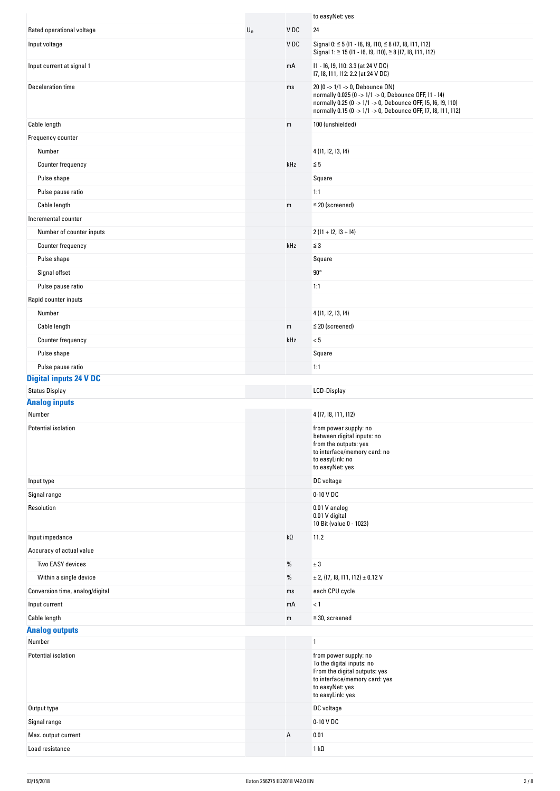|                                 |                           |                 | to easyNet: yes                                                                                                                                                                                                           |
|---------------------------------|---------------------------|-----------------|---------------------------------------------------------------------------------------------------------------------------------------------------------------------------------------------------------------------------|
| Rated operational voltage       | $\mathsf{U}_{\mathrm{e}}$ | V <sub>DC</sub> | 24                                                                                                                                                                                                                        |
| Input voltage                   |                           | VDC             | Signal 0: $\leq$ 5 (11 - 16, 19, 110, $\leq$ 8 (17, 18, 111, 112)<br>Signal 1: ≥ 15 (I1 - I6, I9, I10), ≥ 8 (I7, I8, I11, I12)                                                                                            |
| Input current at signal 1       |                           | mA              | 11 - 16, 19, 110: 3.3 (at 24 V DC)<br>17, 18, 111, 112: 2.2 (at 24 V DC)                                                                                                                                                  |
| Deceleration time               |                           | ms              | 20 (0 -> 1/1 -> 0, Debounce ON)<br>normally 0.025 (0 -> 1/1 -> 0, Debounce OFF, I1 - I4)<br>normally 0.25 (0 -> 1/1 -> 0, Debounce OFF, 15, 16, 19, 110)<br>normally 0.15 (0 -> 1/1 -> 0, Debounce OFF, 17, 18, 111, 112) |
| Cable length                    |                           | m               | 100 (unshielded)                                                                                                                                                                                                          |
| Frequency counter               |                           |                 |                                                                                                                                                                                                                           |
| Number                          |                           |                 | 4 (11, 12, 13, 14)                                                                                                                                                                                                        |
| Counter frequency               |                           | kHz             | $\leq 5$                                                                                                                                                                                                                  |
| Pulse shape                     |                           |                 | Square                                                                                                                                                                                                                    |
| Pulse pause ratio               |                           |                 | 1:1                                                                                                                                                                                                                       |
| Cable length                    |                           | ${\sf m}$       | $\leq$ 20 (screened)                                                                                                                                                                                                      |
| Incremental counter             |                           |                 |                                                                                                                                                                                                                           |
| Number of counter inputs        |                           |                 | $2(11 + 12, 13 + 14)$                                                                                                                                                                                                     |
| Counter frequency               |                           | kHz             | $\leq$ 3                                                                                                                                                                                                                  |
| Pulse shape                     |                           |                 | Square                                                                                                                                                                                                                    |
| Signal offset                   |                           |                 | $90^\circ$                                                                                                                                                                                                                |
| Pulse pause ratio               |                           |                 | 1:1                                                                                                                                                                                                                       |
| Rapid counter inputs            |                           |                 |                                                                                                                                                                                                                           |
| Number                          |                           |                 | 4 (11, 12, 13, 14)                                                                                                                                                                                                        |
| Cable length                    |                           | m               | $\leq$ 20 (screened)                                                                                                                                                                                                      |
| Counter frequency               |                           | kHz             | < 5                                                                                                                                                                                                                       |
| Pulse shape                     |                           |                 | Square                                                                                                                                                                                                                    |
| Pulse pause ratio               |                           |                 | 1:1                                                                                                                                                                                                                       |
| <b>Digital inputs 24 V DC</b>   |                           |                 |                                                                                                                                                                                                                           |
| <b>Status Display</b>           |                           |                 | LCD-Display                                                                                                                                                                                                               |
| <b>Analog inputs</b>            |                           |                 |                                                                                                                                                                                                                           |
| Number                          |                           |                 | 4 (17, 18, 111, 112)                                                                                                                                                                                                      |
| Potential isolation             |                           |                 | from power supply: no<br>between digital inputs: no<br>from the outputs: yes<br>to interface/memory card: no<br>to easyLink: no<br>to easyNet: yes                                                                        |
| Input type                      |                           |                 | DC voltage                                                                                                                                                                                                                |
| Signal range                    |                           |                 | 0-10 V DC                                                                                                                                                                                                                 |
| Resolution                      |                           |                 | 0.01 V analog<br>0.01 V digital<br>10 Bit (value 0 - 1023)                                                                                                                                                                |
| Input impedance                 |                           | $k\Omega$       | 11.2                                                                                                                                                                                                                      |
| Accuracy of actual value        |                           |                 |                                                                                                                                                                                                                           |
| Two EASY devices                |                           | $\%$            | ± 3                                                                                                                                                                                                                       |
| Within a single device          |                           | %               | $\pm$ 2, (17, 18, 111, 112) $\pm$ 0.12 V                                                                                                                                                                                  |
| Conversion time, analog/digital |                           | ms              | each CPU cycle                                                                                                                                                                                                            |
| Input current                   |                           | mA              | < 1                                                                                                                                                                                                                       |
| Cable length                    |                           | ${\mathsf m}$   | $\leq$ 30, screened                                                                                                                                                                                                       |
| <b>Analog outputs</b>           |                           |                 |                                                                                                                                                                                                                           |
| Number                          |                           |                 | $\mathbf{1}$                                                                                                                                                                                                              |
| Potential isolation             |                           |                 | from power supply: no<br>To the digital inputs: no<br>From the digital outputs: yes<br>to interface/memory card: yes                                                                                                      |
|                                 |                           |                 | to easyNet: yes<br>to easyLink: yes                                                                                                                                                                                       |
| Output type                     |                           |                 | DC voltage                                                                                                                                                                                                                |
| Signal range                    |                           |                 | 0-10 V DC                                                                                                                                                                                                                 |
| Max. output current             |                           | Α               | 0.01                                                                                                                                                                                                                      |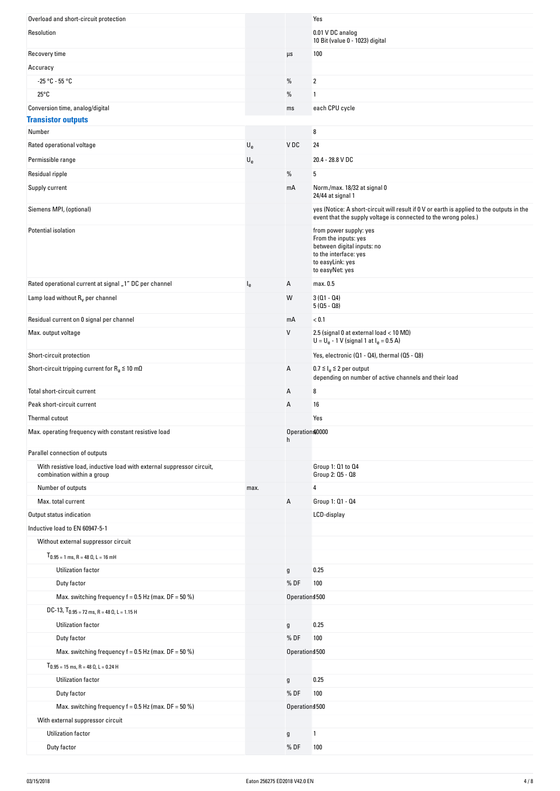| Overload and short-circuit protection                                                               |                           |                     | Yes                                                                                                                                                          |
|-----------------------------------------------------------------------------------------------------|---------------------------|---------------------|--------------------------------------------------------------------------------------------------------------------------------------------------------------|
| Resolution                                                                                          |                           |                     | 0.01 V DC analog<br>10 Bit (value 0 - 1023) digital                                                                                                          |
| Recovery time                                                                                       |                           | $\mu s$             | 100                                                                                                                                                          |
| Accuracy                                                                                            |                           |                     |                                                                                                                                                              |
| $-25 °C - 55 °C$                                                                                    |                           | %                   | 2                                                                                                                                                            |
| $25^{\circ}$ C                                                                                      |                           | $\%$                | 1                                                                                                                                                            |
| Conversion time, analog/digital                                                                     |                           | ms                  | each CPU cycle                                                                                                                                               |
| <b>Transistor outputs</b>                                                                           |                           |                     |                                                                                                                                                              |
| Number                                                                                              |                           |                     | 8                                                                                                                                                            |
| Rated operational voltage                                                                           | $\mathsf{U}_{\mathsf{e}}$ | V DC                | 24                                                                                                                                                           |
| Permissible range                                                                                   | $\mathsf{U}_{\mathsf{e}}$ |                     | 20.4 - 28.8 V DC                                                                                                                                             |
| Residual ripple                                                                                     |                           | %                   | 5                                                                                                                                                            |
| Supply current                                                                                      |                           | mA                  | Norm./max. 18/32 at signal 0<br>24/44 at signal 1                                                                                                            |
| Siemens MPI, (optional)                                                                             |                           |                     | yes (Notice: A short-circuit will result if 0 V or earth is applied to the outputs in the<br>event that the supply voltage is connected to the wrong poles.) |
| Potential isolation                                                                                 |                           |                     | from power supply: yes<br>From the inputs: yes<br>between digital inputs: no<br>to the interface: yes<br>to easyLink: yes<br>to easyNet: yes                 |
| Rated operational current at signal "1" DC per channel                                              | $I_{e}$                   | Α                   | max. 0.5                                                                                                                                                     |
| Lamp load without $R_v$ per channel                                                                 |                           | W                   | $3(01 - 04)$<br>$5(05 - 08)$                                                                                                                                 |
| Residual current on 0 signal per channel                                                            |                           | mA                  | < 0.1                                                                                                                                                        |
| Max. output voltage                                                                                 |                           | V                   | 2.5 (signal 0 at external load $<$ 10 MQ)<br>$U = U_e - 1$ V (signal 1 at $I_e = 0.5$ A)                                                                     |
| Short-circuit protection                                                                            |                           |                     | Yes, electronic (Q1 - Q4), thermal (Q5 - Q8)                                                                                                                 |
| Short-circuit tripping current for $R_a \le 10$ m $\Omega$                                          |                           | Α                   | $0.7 \leq I_e \leq 2$ per output<br>depending on number of active channels and their load                                                                    |
| Total short-circuit current                                                                         |                           | Α                   | 8                                                                                                                                                            |
| Peak short-circuit current                                                                          |                           | Α                   | 16                                                                                                                                                           |
| Thermal cutout                                                                                      |                           |                     | Yes                                                                                                                                                          |
| Max. operating frequency with constant resistive load                                               |                           | Operations0000<br>h |                                                                                                                                                              |
| Parallel connection of outputs                                                                      |                           |                     |                                                                                                                                                              |
| With resistive load, inductive load with external suppressor circuit,<br>combination within a group |                           |                     | Group 1: 01 to 04<br>Group 2: 05 - 08                                                                                                                        |
| Number of outputs                                                                                   | max.                      |                     | 4                                                                                                                                                            |
| Max. total current                                                                                  |                           | Α                   | Group 1: 01 - 04                                                                                                                                             |
| Output status indication                                                                            |                           |                     | LCD-display                                                                                                                                                  |
| Inductive load to EN 60947-5-1                                                                      |                           |                     |                                                                                                                                                              |
| Without external suppressor circuit                                                                 |                           |                     |                                                                                                                                                              |
| $T_{0.95}$ = 1 ms, R = 48 $\Omega$ , L = 16 mH                                                      |                           |                     |                                                                                                                                                              |
| Utilization factor                                                                                  |                           | g                   | 0.25                                                                                                                                                         |
| Duty factor                                                                                         |                           | %DF                 | 100                                                                                                                                                          |
| Max. switching frequency $f = 0.5$ Hz (max. DF = 50 %)                                              |                           | Operation \$500     |                                                                                                                                                              |
| DC-13, $T_{0.95}$ = 72 ms, R = 48 0, L = 1.15 H                                                     |                           |                     |                                                                                                                                                              |
| Utilization factor                                                                                  |                           | $\mathfrak g$       | 0.25                                                                                                                                                         |
| Duty factor                                                                                         |                           | %DF                 | 100                                                                                                                                                          |
| Max. switching frequency $f = 0.5$ Hz (max. DF = 50 %)                                              |                           | Operation \$500     |                                                                                                                                                              |
| $T_{0.95}$ = 15 ms, R = 48 $\Omega$ , L = 0.24 H                                                    |                           |                     |                                                                                                                                                              |
| Utilization factor                                                                                  |                           | g                   | 0.25                                                                                                                                                         |
| Duty factor                                                                                         |                           | %DF                 | 100                                                                                                                                                          |
| Max. switching frequency $f = 0.5$ Hz (max. DF = 50 %)                                              |                           | Operation \$500     |                                                                                                                                                              |
| With external suppressor circuit                                                                    |                           |                     |                                                                                                                                                              |
| Utilization factor                                                                                  |                           | g                   | 1                                                                                                                                                            |
| Duty factor                                                                                         |                           | %DF                 | 100                                                                                                                                                          |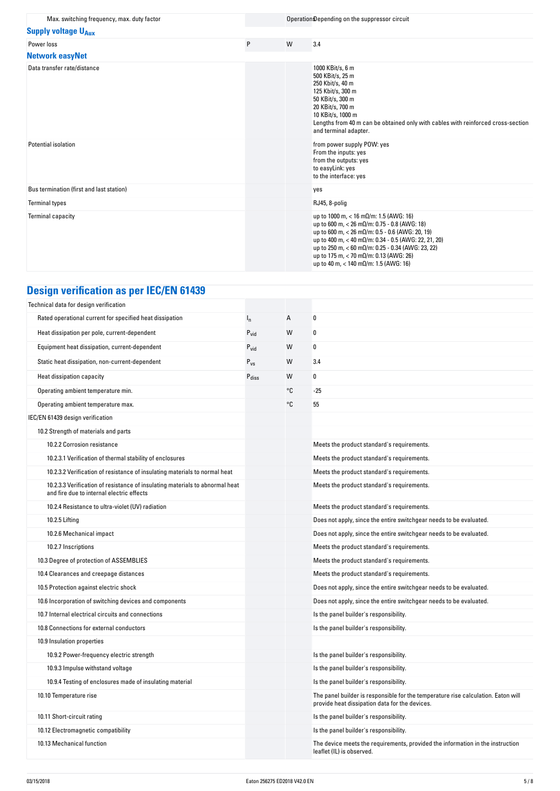| Max. switching frequency, max. duty factor |         |   | Operation Depending on the suppressor circuit                                                                                                                                                                                                                                                                                                                                                         |
|--------------------------------------------|---------|---|-------------------------------------------------------------------------------------------------------------------------------------------------------------------------------------------------------------------------------------------------------------------------------------------------------------------------------------------------------------------------------------------------------|
| <b>Supply voltage U<sub>Aux</sub></b>      |         |   |                                                                                                                                                                                                                                                                                                                                                                                                       |
| Power loss                                 | $\sf P$ | W | 3.4                                                                                                                                                                                                                                                                                                                                                                                                   |
| <b>Network easyNet</b>                     |         |   |                                                                                                                                                                                                                                                                                                                                                                                                       |
| Data transfer rate/distance                |         |   | 1000 KBit/s, 6 m<br>500 KBit/s, 25 m<br>250 Kbit/s, 40 m<br>125 Kbit/s, 300 m<br>50 KBit/s, 300 m<br>20 KBit/s, 700 m<br>10 KBit/s, 1000 m<br>Lengths from 40 m can be obtained only with cables with reinforced cross-section<br>and terminal adapter.                                                                                                                                               |
| Potential isolation                        |         |   | from power supply POW: yes<br>From the inputs: yes<br>from the outputs: yes<br>to easyLink: yes<br>to the interface: yes                                                                                                                                                                                                                                                                              |
| Bus termination (first and last station)   |         |   | yes                                                                                                                                                                                                                                                                                                                                                                                                   |
| <b>Terminal types</b>                      |         |   | RJ45, 8-polig                                                                                                                                                                                                                                                                                                                                                                                         |
| Terminal capacity                          |         |   | up to 1000 m, < 16 m $\Omega$ /m: 1.5 (AWG: 16)<br>up to 600 m, $<$ 26 m $\Omega$ /m: 0.75 - 0.8 (AWG: 18)<br>up to 600 m, $<$ 26 m $\Omega$ /m: 0.5 - 0.6 (AWG: 20, 19)<br>up to 400 m, < 40 m $\Omega$ /m: 0.34 - 0.5 (AWG: 22, 21, 20)<br>up to 250 m, < 60 mΩ/m: 0.25 - 0.34 (AWG: 23, 22)<br>up to 175 m, $<$ 70 m $\Omega$ /m: 0.13 (AWG: 26)<br>up to 40 m, < 140 m $\Omega$ /m: 1.5 (AWG: 16) |

# **Design verification as per IEC/EN 61439**

| Technical data for design verification                                                                                    |                   |    |                                                                                                                                     |
|---------------------------------------------------------------------------------------------------------------------------|-------------------|----|-------------------------------------------------------------------------------------------------------------------------------------|
| Rated operational current for specified heat dissipation                                                                  | $I_{n}$           | А  | 0                                                                                                                                   |
| Heat dissipation per pole, current-dependent                                                                              | $P_{vid}$         | W  | 0                                                                                                                                   |
| Equipment heat dissipation, current-dependent                                                                             | $P_{\text{vid}}$  | W  | 0                                                                                                                                   |
| Static heat dissipation, non-current-dependent                                                                            | $P_{VS}$          | W  | 3.4                                                                                                                                 |
| Heat dissipation capacity                                                                                                 | $P_{\text{diss}}$ | W  | 0                                                                                                                                   |
| Operating ambient temperature min.                                                                                        |                   | °C | $-25$                                                                                                                               |
| Operating ambient temperature max.                                                                                        |                   | °C | 55                                                                                                                                  |
| IEC/EN 61439 design verification                                                                                          |                   |    |                                                                                                                                     |
| 10.2 Strength of materials and parts                                                                                      |                   |    |                                                                                                                                     |
| 10.2.2 Corrosion resistance                                                                                               |                   |    | Meets the product standard's requirements.                                                                                          |
| 10.2.3.1 Verification of thermal stability of enclosures                                                                  |                   |    | Meets the product standard's requirements.                                                                                          |
| 10.2.3.2 Verification of resistance of insulating materials to normal heat                                                |                   |    | Meets the product standard's requirements.                                                                                          |
| 10.2.3.3 Verification of resistance of insulating materials to abnormal heat<br>and fire due to internal electric effects |                   |    | Meets the product standard's requirements.                                                                                          |
| 10.2.4 Resistance to ultra-violet (UV) radiation                                                                          |                   |    | Meets the product standard's requirements.                                                                                          |
| 10.2.5 Lifting                                                                                                            |                   |    | Does not apply, since the entire switchgear needs to be evaluated.                                                                  |
| 10.2.6 Mechanical impact                                                                                                  |                   |    | Does not apply, since the entire switchgear needs to be evaluated.                                                                  |
| 10.2.7 Inscriptions                                                                                                       |                   |    | Meets the product standard's requirements.                                                                                          |
| 10.3 Degree of protection of ASSEMBLIES                                                                                   |                   |    | Meets the product standard's requirements.                                                                                          |
| 10.4 Clearances and creepage distances                                                                                    |                   |    | Meets the product standard's requirements.                                                                                          |
| 10.5 Protection against electric shock                                                                                    |                   |    | Does not apply, since the entire switchgear needs to be evaluated.                                                                  |
| 10.6 Incorporation of switching devices and components                                                                    |                   |    | Does not apply, since the entire switchgear needs to be evaluated.                                                                  |
| 10.7 Internal electrical circuits and connections                                                                         |                   |    | Is the panel builder's responsibility.                                                                                              |
| 10.8 Connections for external conductors                                                                                  |                   |    | Is the panel builder's responsibility.                                                                                              |
| 10.9 Insulation properties                                                                                                |                   |    |                                                                                                                                     |
| 10.9.2 Power-frequency electric strength                                                                                  |                   |    | Is the panel builder's responsibility.                                                                                              |
| 10.9.3 Impulse withstand voltage                                                                                          |                   |    | Is the panel builder's responsibility.                                                                                              |
| 10.9.4 Testing of enclosures made of insulating material                                                                  |                   |    | Is the panel builder's responsibility.                                                                                              |
| 10.10 Temperature rise                                                                                                    |                   |    | The panel builder is responsible for the temperature rise calculation. Eaton will<br>provide heat dissipation data for the devices. |
| 10.11 Short-circuit rating                                                                                                |                   |    | Is the panel builder's responsibility.                                                                                              |
| 10.12 Electromagnetic compatibility                                                                                       |                   |    | Is the panel builder's responsibility.                                                                                              |
| 10.13 Mechanical function                                                                                                 |                   |    | The device meets the requirements, provided the information in the instruction<br>leaflet (IL) is observed.                         |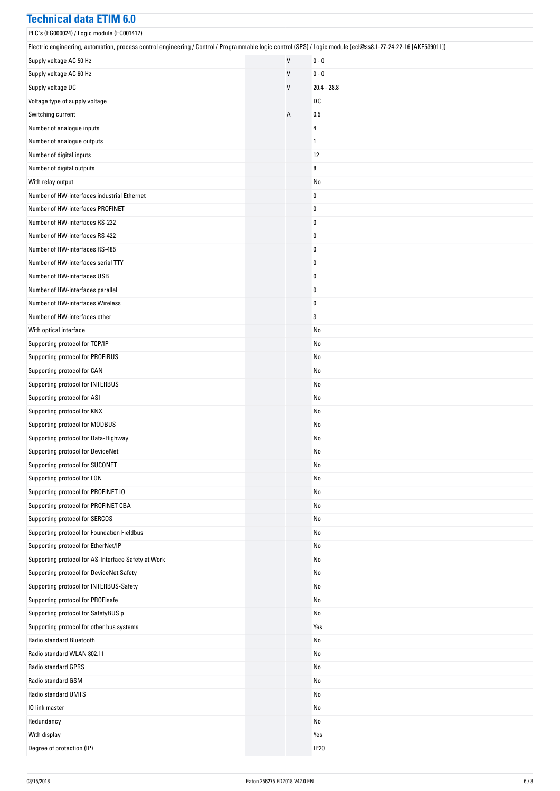#### **Technical data ETIM 6.0**

| PLC's (EG000024) / Logic module (EC001417)                                                                                                                    |   |               |
|---------------------------------------------------------------------------------------------------------------------------------------------------------------|---|---------------|
| Electric engineering, automation, process control engineering / Control / Programmable logic control (SPS) / Logic module (ecl@ss8.1-27-24-22-16 [AKE539011]) |   |               |
| Supply voltage AC 50 Hz                                                                                                                                       | V | $0 - 0$       |
| Supply voltage AC 60 Hz                                                                                                                                       | V | $0 - 0$       |
| Supply voltage DC                                                                                                                                             | V | $20.4 - 28.8$ |
| Voltage type of supply voltage                                                                                                                                |   | DC            |
| Switching current                                                                                                                                             | А | 0.5           |
| Number of analogue inputs                                                                                                                                     |   | 4             |
| Number of analogue outputs                                                                                                                                    |   | 1             |
| Number of digital inputs                                                                                                                                      |   | 12            |
| Number of digital outputs                                                                                                                                     |   | 8             |
| With relay output                                                                                                                                             |   | No            |
| Number of HW-interfaces industrial Ethernet                                                                                                                   |   | 0             |
| Number of HW-interfaces PROFINET                                                                                                                              |   | $\pmb{0}$     |
| Number of HW-interfaces RS-232                                                                                                                                |   | 0             |
| Number of HW-interfaces RS-422                                                                                                                                |   | $\pmb{0}$     |
| Number of HW-interfaces RS-485                                                                                                                                |   | $\pmb{0}$     |
| Number of HW-interfaces serial TTY                                                                                                                            |   | $\pmb{0}$     |
| Number of HW-interfaces USB                                                                                                                                   |   | 0             |
| Number of HW-interfaces parallel                                                                                                                              |   | 0             |
| Number of HW-interfaces Wireless                                                                                                                              |   | $\pmb{0}$     |
| Number of HW-interfaces other                                                                                                                                 |   | 3             |
| With optical interface                                                                                                                                        |   | No            |
| Supporting protocol for TCP/IP                                                                                                                                |   | No            |
| Supporting protocol for PROFIBUS                                                                                                                              |   | No            |
| Supporting protocol for CAN                                                                                                                                   |   | No            |
| Supporting protocol for INTERBUS                                                                                                                              |   | No            |
| Supporting protocol for ASI                                                                                                                                   |   | No            |
| Supporting protocol for KNX                                                                                                                                   |   | No            |
| Supporting protocol for MODBUS                                                                                                                                |   | No            |
| Supporting protocol for Data-Highway                                                                                                                          |   | No            |
| Supporting protocol for DeviceNet                                                                                                                             |   | No            |
| Supporting protocol for SUCONET                                                                                                                               |   | No            |
| Supporting protocol for LON                                                                                                                                   |   | No            |
| Supporting protocol for PROFINET IO                                                                                                                           |   | No            |
| Supporting protocol for PROFINET CBA                                                                                                                          |   | No            |
| Supporting protocol for SERCOS                                                                                                                                |   | No            |
| Supporting protocol for Foundation Fieldbus                                                                                                                   |   | No            |
| Supporting protocol for EtherNet/IP                                                                                                                           |   | No            |
| Supporting protocol for AS-Interface Safety at Work                                                                                                           |   | No            |
| Supporting protocol for DeviceNet Safety                                                                                                                      |   | No            |
| Supporting protocol for INTERBUS-Safety                                                                                                                       |   | No            |
| Supporting protocol for PROFIsafe                                                                                                                             |   | No            |
| Supporting protocol for SafetyBUS p                                                                                                                           |   | No            |
| Supporting protocol for other bus systems                                                                                                                     |   | Yes           |
| Radio standard Bluetooth                                                                                                                                      |   | No            |
| Radio standard WLAN 802.11                                                                                                                                    |   | No            |
| Radio standard GPRS                                                                                                                                           |   | No            |
| Radio standard GSM                                                                                                                                            |   | No            |
| Radio standard UMTS                                                                                                                                           |   | No            |
| 10 link master                                                                                                                                                |   | No            |
| Redundancy                                                                                                                                                    |   | No            |
| With display                                                                                                                                                  |   | Yes           |
| Degree of protection (IP)                                                                                                                                     |   | <b>IP20</b>   |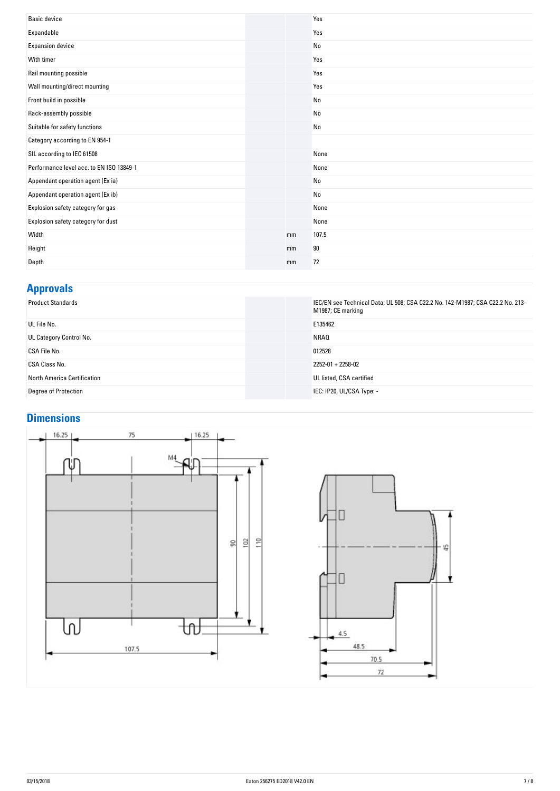| <b>Basic device</b>                      |    | Yes   |
|------------------------------------------|----|-------|
| Expandable                               |    | Yes   |
| <b>Expansion device</b>                  |    | No    |
| With timer                               |    | Yes   |
| Rail mounting possible                   |    | Yes   |
| Wall mounting/direct mounting            |    | Yes   |
| Front build in possible                  |    | No    |
| Rack-assembly possible                   |    | No    |
| Suitable for safety functions            |    | No    |
| Category according to EN 954-1           |    |       |
| SIL according to IEC 61508               |    | None  |
| Performance level acc. to EN ISO 13849-1 |    | None  |
| Appendant operation agent (Ex ia)        |    | No    |
| Appendant operation agent (Ex ib)        |    | No    |
| Explosion safety category for gas        |    | None  |
| Explosion safety category for dust       |    | None  |
| Width                                    | mm | 107.5 |
| Height                                   | mm | 90    |
| Depth                                    | mm | 72    |
|                                          |    |       |

#### **Approvals**

| .                                  |                                                                                                     |
|------------------------------------|-----------------------------------------------------------------------------------------------------|
| <b>Product Standards</b>           | IEC/EN see Technical Data; UL 508; CSA C22.2 No. 142-M1987; CSA C22.2 No. 213-<br>M1987; CE marking |
| UL File No.                        | E135462                                                                                             |
| UL Category Control No.            | NRAQ                                                                                                |
| CSA File No.                       | 012528                                                                                              |
| CSA Class No.                      | $2252 - 01 + 2258 - 02$                                                                             |
| <b>North America Certification</b> | UL listed, CSA certified                                                                            |
| Degree of Protection               | IEC: IP20, UL/CSA Type: -                                                                           |

#### **Dimensions**